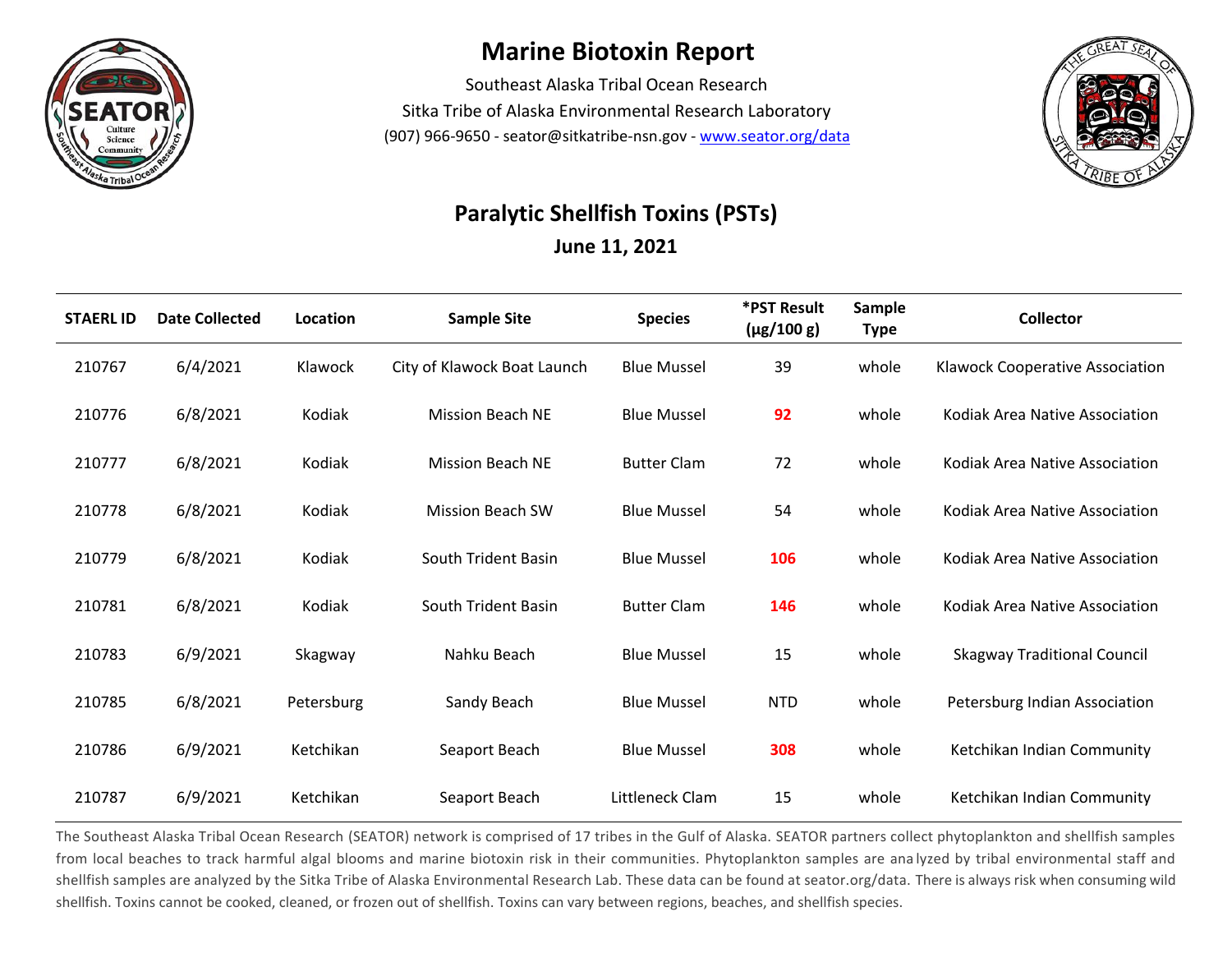

## **Marine Biotoxin Report**

Southeast Alaska Tribal Ocean Research Sitka Tribe of Alaska Environmental Research Laboratory (907) 966-9650 - seator@sitkatribe-nsn.gov - [www.seator.org/data](http://www.seator.org/data)



## **Paralytic Shellfish Toxins (PSTs)**

**June 11, 2021**

| <b>STAERL ID</b> | <b>Date Collected</b> | Location   | <b>Sample Site</b>          | <b>Species</b>     | *PST Result<br>$(\mu g/100 g)$ | Sample<br><b>Type</b> | <b>Collector</b>                   |
|------------------|-----------------------|------------|-----------------------------|--------------------|--------------------------------|-----------------------|------------------------------------|
| 210767           | 6/4/2021              | Klawock    | City of Klawock Boat Launch | <b>Blue Mussel</b> | 39                             | whole                 | Klawock Cooperative Association    |
| 210776           | 6/8/2021              | Kodiak     | <b>Mission Beach NE</b>     | <b>Blue Mussel</b> | 92                             | whole                 | Kodiak Area Native Association     |
| 210777           | 6/8/2021              | Kodiak     | <b>Mission Beach NE</b>     | <b>Butter Clam</b> | 72                             | whole                 | Kodiak Area Native Association     |
| 210778           | 6/8/2021              | Kodiak     | <b>Mission Beach SW</b>     | <b>Blue Mussel</b> | 54                             | whole                 | Kodiak Area Native Association     |
| 210779           | 6/8/2021              | Kodiak     | South Trident Basin         | <b>Blue Mussel</b> | 106                            | whole                 | Kodiak Area Native Association     |
| 210781           | 6/8/2021              | Kodiak     | South Trident Basin         | <b>Butter Clam</b> | 146                            | whole                 | Kodiak Area Native Association     |
| 210783           | 6/9/2021              | Skagway    | Nahku Beach                 | <b>Blue Mussel</b> | 15                             | whole                 | <b>Skagway Traditional Council</b> |
| 210785           | 6/8/2021              | Petersburg | Sandy Beach                 | <b>Blue Mussel</b> | <b>NTD</b>                     | whole                 | Petersburg Indian Association      |
| 210786           | 6/9/2021              | Ketchikan  | Seaport Beach               | <b>Blue Mussel</b> | 308                            | whole                 | Ketchikan Indian Community         |
| 210787           | 6/9/2021              | Ketchikan  | Seaport Beach               | Littleneck Clam    | 15                             | whole                 | Ketchikan Indian Community         |

The Southeast Alaska Tribal Ocean Research (SEATOR) network is comprised of 17 tribes in the Gulf of Alaska. SEATOR partners collect phytoplankton and shellfish samples from local beaches to track harmful algal blooms and marine biotoxin risk in their communities. Phytoplankton samples are ana lyzed by tribal environmental staff and shellfish samples are analyzed by the Sitka Tribe of Alaska Environmental Research Lab. These data can be found at seator.org/data. There is always risk when consuming wild shellfish. Toxins cannot be cooked, cleaned, or frozen out of shellfish. Toxins can vary between regions, beaches, and shellfish species.